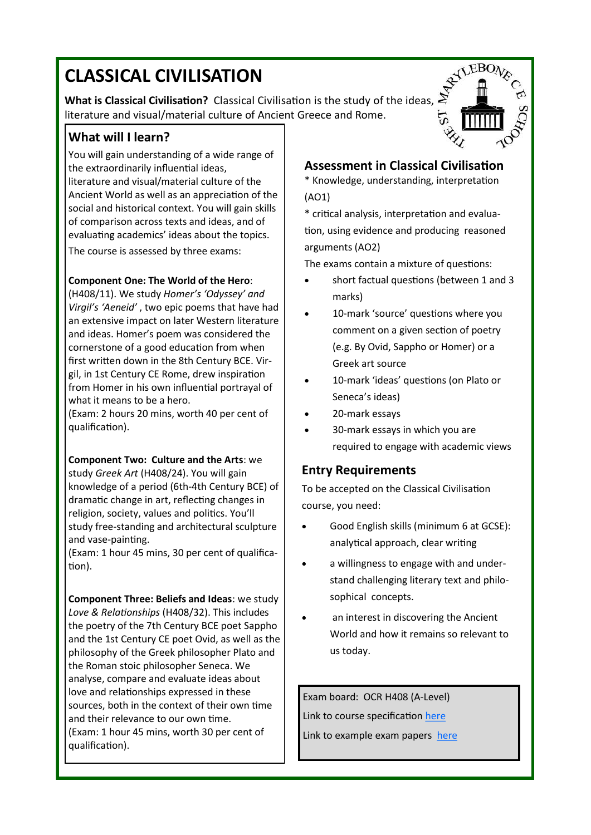# **CLASSICAL CIVILISATION**

**What is Classical Civilisation?** Classical Civilisation is the study of the ideas, literature and visual/material culture of Ancient Greece and Rome.

# **What will I learn?**

You will gain understanding of a wide range of the extraordinarily influential ideas, literature and visual/material culture of the Ancient World as well as an appreciation of the social and historical context. You will gain skills of comparison across texts and ideas, and of evaluating academics' ideas about the topics.

The course is assessed by three exams:

#### **Component One: The World of the Hero**:

(H408/11). We study *Homer's 'Odyssey' and Virgil's 'Aeneid'* , two epic poems that have had an extensive impact on later Western literature and ideas. Homer's poem was considered the cornerstone of a good education from when first written down in the 8th Century BCE. Virgil, in 1st Century CE Rome, drew inspiration from Homer in his own influential portrayal of what it means to be a hero.

(Exam: 2 hours 20 mins, worth 40 per cent of qualification).

#### **Component Two: Culture and the Arts**: we

study *Greek Art* (H408/24). You will gain knowledge of a period (6th-4th Century BCE) of dramatic change in art, reflecting changes in religion, society, values and politics. You'll study free-standing and architectural sculpture and vase-painting.

(Exam: 1 hour 45 mins, 30 per cent of qualification).

**Component Three: Beliefs and Ideas**: we study *Love & Relationships* (H408/32). This includes the poetry of the 7th Century BCE poet Sappho and the 1st Century CE poet Ovid, as well as the philosophy of the Greek philosopher Plato and the Roman stoic philosopher Seneca. We analyse, compare and evaluate ideas about love and relationships expressed in these sources, both in the context of their own time and their relevance to our own time. (Exam: 1 hour 45 mins, worth 30 per cent of qualification).



## **Assessment in Classical Civilisation**

\* Knowledge, understanding, interpretation (AO1)

\* critical analysis, interpretation and evaluation, using evidence and producing reasoned arguments (AO2)

The exams contain a mixture of questions:

- short factual questions (between 1 and 3 marks)
- 10-mark 'source' questions where you comment on a given section of poetry (e.g. By Ovid, Sappho or Homer) or a Greek art source
- 10-mark 'ideas' questions (on Plato or Seneca's ideas)
- 20-mark essays
- 30-mark essays in which you are required to engage with academic views

#### **Entry Requirements**

To be accepted on the Classical Civilisation course, you need:

- Good English skills (minimum 6 at GCSE): analytical approach, clear writing
- a willingness to engage with and understand challenging literary text and philosophical concepts.
- an interest in discovering the Ancient World and how it remains so relevant to us today.

Exam board: OCR H408 (A-Level) Link to course specification [here](https://www.ocr.org.uk/qualifications/as-and-a-level/classical-civilisation-h008-h408-from-2017/) Link to example exam papers [here](https://www.ocr.org.uk/Images/315134-unit-h408-11-the-world-of-the-hero-sample-assessment-material.pdf)